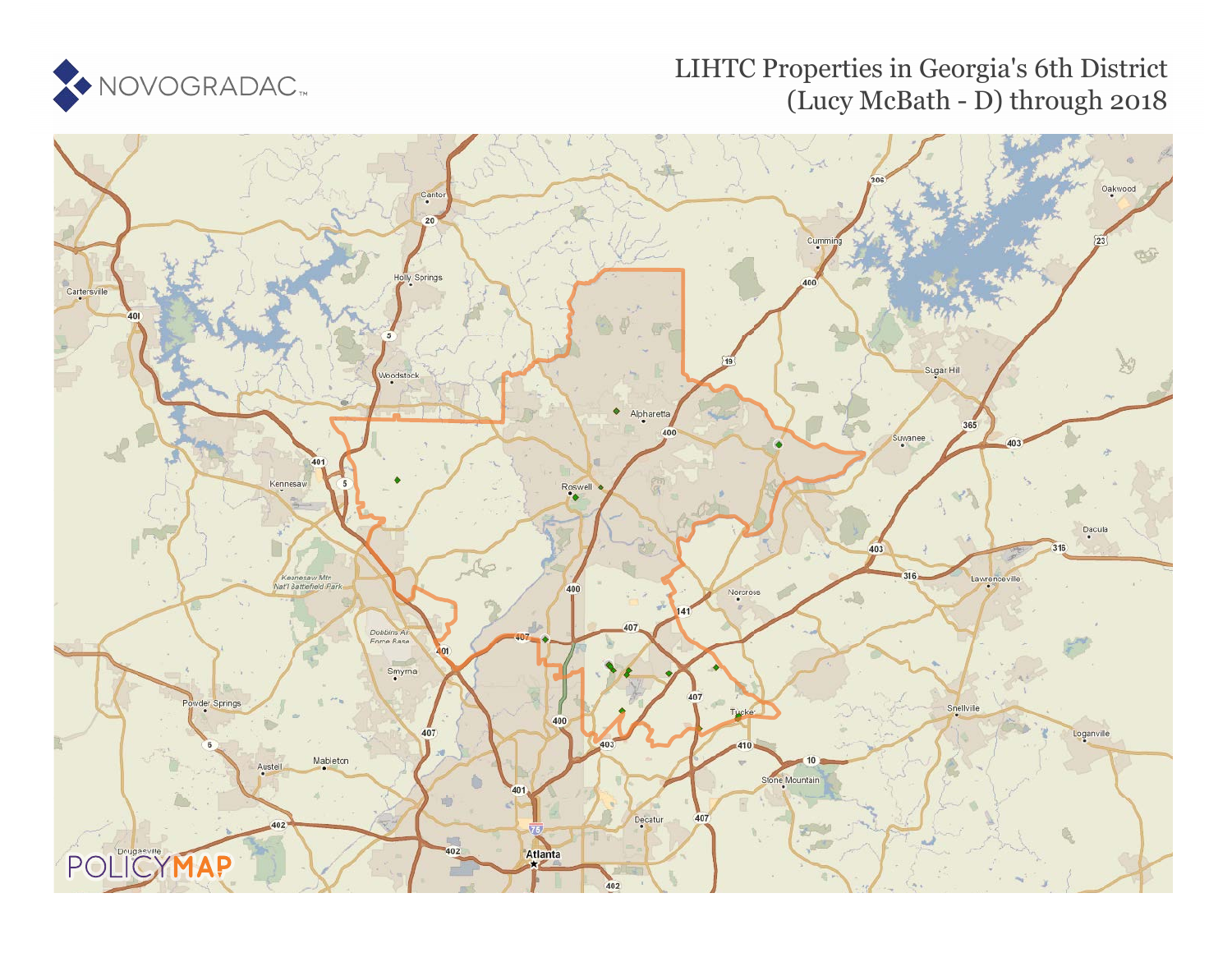

## LIHTC Properties in Georgia's 6th District (Lucy McBath - D) through 2018

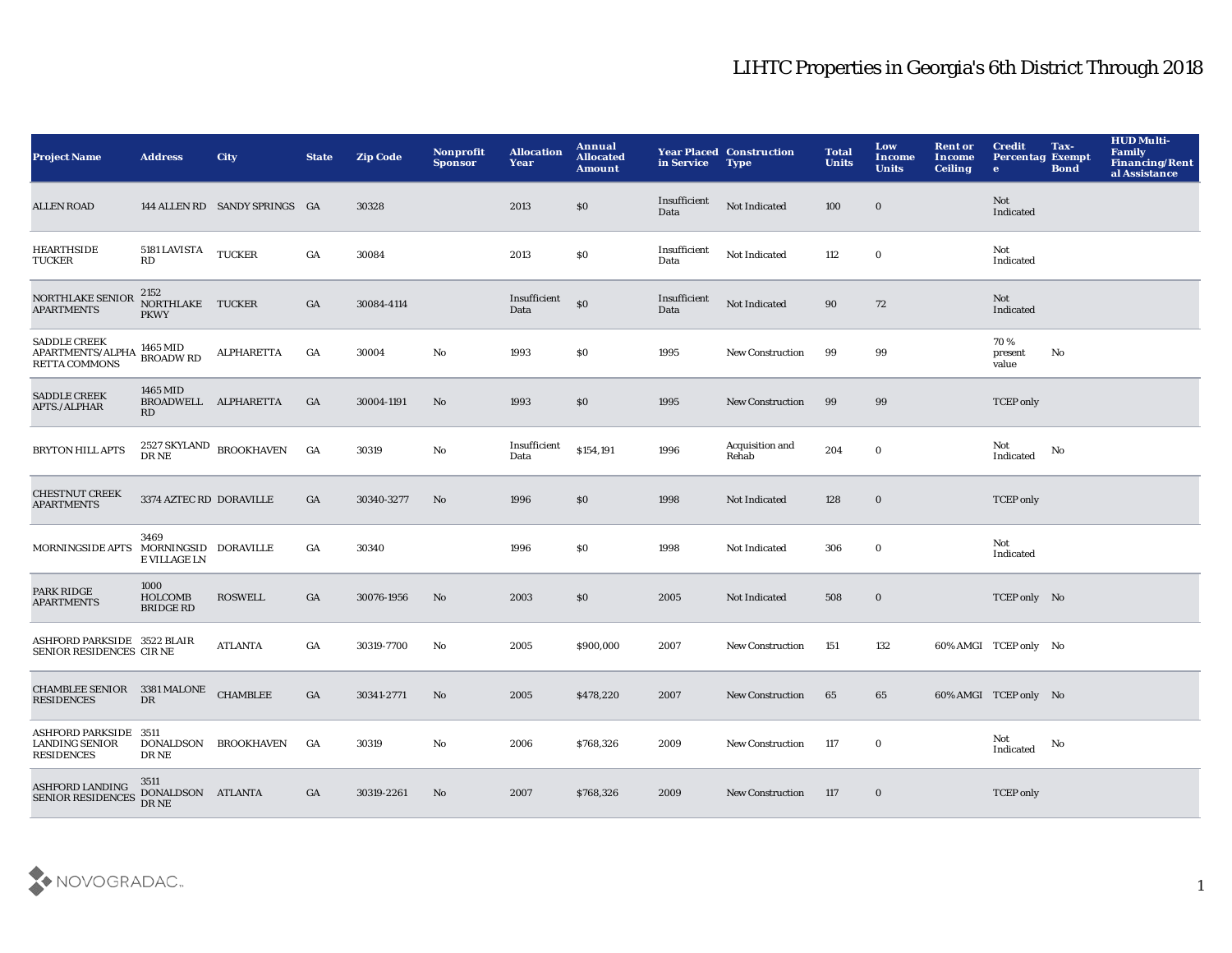## LIHTC Properties in Georgia's 6th District Through 2018

| Project Name                                                        | <b>Address</b>                               | City                                                   | <b>State</b> | <b>Zip Code</b> | Nonprofit<br><b>Sponsor</b> | <b>Allocation</b><br>Year | Annual<br><b>Allocated</b><br><b>Amount</b> | in Service           | <b>Year Placed Construction</b><br><b>Type</b> | <b>Total</b><br><b>Units</b> | Low<br>Income<br><b>Units</b> | <b>Rent or</b><br>Income<br><b>Ceiling</b> | <b>Credit</b><br><b>Percentag Exempt</b><br>$\bullet$ | Tax-<br><b>Bond</b> | <b>HUD Multi-</b><br><b>Family</b><br><b>Financing/Rent</b><br>al Assistance |
|---------------------------------------------------------------------|----------------------------------------------|--------------------------------------------------------|--------------|-----------------|-----------------------------|---------------------------|---------------------------------------------|----------------------|------------------------------------------------|------------------------------|-------------------------------|--------------------------------------------|-------------------------------------------------------|---------------------|------------------------------------------------------------------------------|
| <b>ALLEN ROAD</b>                                                   |                                              | 144 ALLEN RD SANDY SPRINGS GA                          |              | 30328           |                             | 2013                      | \$0                                         | Insufficient<br>Data | Not Indicated                                  | 100                          | $\bf{0}$                      |                                            | Not<br>Indicated                                      |                     |                                                                              |
| <b>HEARTHSIDE</b><br><b>TUCKER</b>                                  | 5181 LAVISTA TUCKER<br>RD                    |                                                        | GA           | 30084           |                             | 2013                      | $\$0$                                       | Insufficient<br>Data | Not Indicated                                  | 112                          | $\bf{0}$                      |                                            | Not<br>Indicated                                      |                     |                                                                              |
| NORTHLAKE SENIOR<br><b>APARTMENTS</b>                               | 2152<br>NORTHLAKE TUCKER<br><b>PKWY</b>      |                                                        | GA           | 30084-4114      |                             | Insufficient<br>Data      | \$0                                         | Insufficient<br>Data | Not Indicated                                  | 90                           | 72                            |                                            | Not<br>Indicated                                      |                     |                                                                              |
| <b>SADDLE CREEK</b><br>APARTMENTS/ALPHA<br><b>RETTA COMMONS</b>     | 1465 MID<br><b>BROADWRD</b>                  | ALPHARETTA                                             | GA           | 30004           | No                          | 1993                      | \$0                                         | 1995                 | <b>New Construction</b>                        | 99                           | 99                            |                                            | 70%<br>present<br>value                               | No                  |                                                                              |
| <b>SADDLE CREEK</b><br>APTS./ALPHAR                                 | 1465 MID<br>BROADWELL ALPHARETTA<br>RD       |                                                        | GA           | 30004-1191      | No                          | 1993                      | $\$0$                                       | 1995                 | <b>New Construction</b>                        | 99                           | 99                            |                                            | <b>TCEP</b> only                                      |                     |                                                                              |
| <b>BRYTON HILL APTS</b>                                             |                                              | $2527\ \mathrm{SKYLAND} \quad \text{BROOKHAVEN}$ DR NE | GA           | 30319           | No                          | Insufficient<br>Data      | \$154,191                                   | 1996                 | Acquisition and<br>Rehab                       | 204                          | $\mathbf 0$                   |                                            | Not<br>Indicated                                      | No                  |                                                                              |
| <b>CHESTNUT CREEK</b><br><b>APARTMENTS</b>                          | 3374 AZTEC RD DORAVILLE                      |                                                        | GA           | 30340-3277      | $\mathbf{N}\mathbf{o}$      | 1996                      | $\$0$                                       | 1998                 | Not Indicated                                  | 128                          | $\bf{0}$                      |                                            | <b>TCEP</b> only                                      |                     |                                                                              |
| MORNINGSIDE APTS                                                    | 3469<br>MORNINGSID DORAVILLE<br>E VILLAGE LN |                                                        | GA           | 30340           |                             | 1996                      | \$0                                         | 1998                 | Not Indicated                                  | 306                          | $\bf{0}$                      |                                            | Not<br>Indicated                                      |                     |                                                                              |
| PARK RIDGE<br><b>APARTMENTS</b>                                     | 1000<br>HOLCOMB<br><b>BRIDGE RD</b>          | <b>ROSWELL</b>                                         | GA           | 30076-1956      | No                          | 2003                      | \$0                                         | 2005                 | Not Indicated                                  | 508                          | $\bf{0}$                      |                                            | TCEP only No                                          |                     |                                                                              |
| ASHFORD PARKSIDE 3522 BLAIR<br>SENIOR RESIDENCES CIR NE             |                                              | <b>ATLANTA</b>                                         | GA           | 30319-7700      | No                          | 2005                      | \$900,000                                   | 2007                 | <b>New Construction</b>                        | 151                          | 132                           |                                            | 60% AMGI TCEP only No                                 |                     |                                                                              |
| CHAMBLEE SENIOR 3381 MALONE CHAMBLEE<br><b>RESIDENCES</b>           | DR                                           |                                                        | GA           | 30341-2771      | No                          | 2005                      | \$478,220                                   | 2007                 | <b>New Construction</b>                        | 65                           | 65                            |                                            | 60% AMGI TCEP only No                                 |                     |                                                                              |
| ASHFORD PARKSIDE 3511<br><b>LANDING SENIOR</b><br><b>RESIDENCES</b> | <b>DONALDSON</b><br>DR NE                    | <b>BROOKHAVEN</b>                                      | GA           | 30319           | No                          | 2006                      | \$768,326                                   | 2009                 | <b>New Construction</b>                        | 117                          | $\bf{0}$                      |                                            | Not<br>Indicated                                      | No                  |                                                                              |
| <b>ASHFORD LANDING</b><br><b>SENIOR RESIDENCES</b>                  | 3511<br>DONALDSON ATLANTA<br>DR NE           |                                                        | GA           | 30319-2261      | No                          | 2007                      | \$768,326                                   | 2009                 | <b>New Construction</b>                        | 117                          | $\bf{0}$                      |                                            | <b>TCEP</b> only                                      |                     |                                                                              |